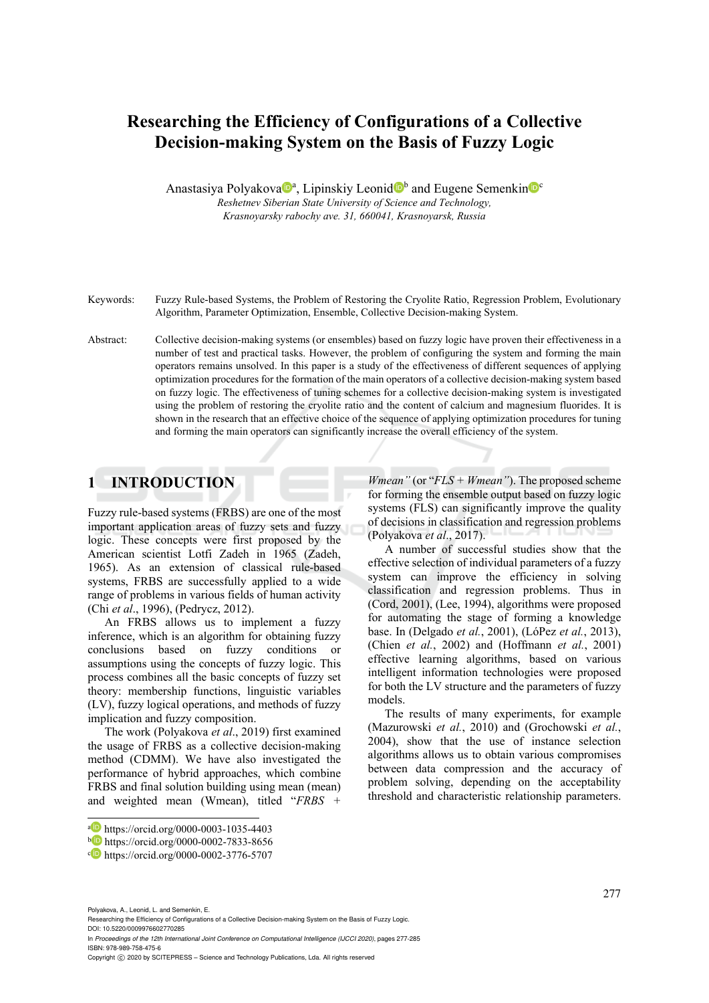# **Researching the Efficiency of Configurations of a Collective Decision-making System on the Basis of Fuzzy Logic**

Anastasiya Polyakova<sup>n</sup>, Lipinskiy Leonid<sup>n</sup> and Eugene Semenkin<sup>n</sup><sup>c</sup> *Reshetnev Siberian State University of Science and Technology, Krasnoyarsky rabochy ave. 31, 660041, Krasnoyarsk, Russia* 

Keywords: Fuzzy Rule-based Systems, the Problem of Restoring the Cryolite Ratio, Regression Problem, Evolutionary Algorithm, Parameter Optimization, Ensemble, Collective Decision-making System.

Abstract: Collective decision-making systems (or ensembles) based on fuzzy logic have proven their effectiveness in a number of test and practical tasks. However, the problem of configuring the system and forming the main operators remains unsolved. In this paper is a study of the effectiveness of different sequences of applying optimization procedures for the formation of the main operators of a collective decision-making system based on fuzzy logic. The effectiveness of tuning schemes for a collective decision-making system is investigated using the problem of restoring the cryolite ratio and the content of calcium and magnesium fluorides. It is shown in the research that an effective choice of the sequence of applying optimization procedures for tuning and forming the main operators can significantly increase the overall efficiency of the system.

## **1 INTRODUCTION**

Fuzzy rule-based systems (FRBS) are one of the most important application areas of fuzzy sets and fuzzy logic. These concepts were first proposed by the American scientist Lotfi Zadeh in 1965 (Zadeh, 1965). As an extension of classical rule-based systems, FRBS are successfully applied to a wide range of problems in various fields of human activity (Chi *et al*., 1996), (Pedrycz, 2012).

An FRBS allows us to implement a fuzzy inference, which is an algorithm for obtaining fuzzy conclusions based on fuzzy conditions or assumptions using the concepts of fuzzy logic. This process combines all the basic concepts of fuzzy set theory: membership functions, linguistic variables (LV), fuzzy logical operations, and methods of fuzzy implication and fuzzy composition.

The work (Polyakova *et al*., 2019) first examined the usage of FRBS as a collective decision-making method (CDMM). We have also investigated the performance of hybrid approaches, which combine FRBS and final solution building using mean (mean) and weighted mean (Wmean), titled "*FRBS +* 

*Wmean"* (or "*FLS + Wmean"*). The proposed scheme for forming the ensemble output based on fuzzy logic systems (FLS) can significantly improve the quality of decisions in classification and regression problems (Polyakova *et al*., 2017).

A number of successful studies show that the effective selection of individual parameters of a fuzzy system can improve the efficiency in solving classification and regression problems. Thus in (Cord, 2001), (Lee, 1994), algorithms were proposed for automating the stage of forming a knowledge base. In (Delgado *et al.*, 2001), (LóPez *et al.*, 2013), (Chien *et al.*, 2002) and (Hoffmann *et al.*, 2001) effective learning algorithms, based on various intelligent information technologies were proposed for both the LV structure and the parameters of fuzzy models.

The results of many experiments, for example (Mazurowski *et al.*, 2010) and (Grochowski *et al.*, 2004), show that the use of instance selection algorithms allows us to obtain various compromises between data compression and the accuracy of problem solving, depending on the acceptability threshold and characteristic relationship parameters.

Polyakova, A., Leonid, L. and Semenkin, E.

In *Proceedings of the 12th International Joint Conference on Computational Intelligence (IJCCI 2020)*, pages 277-285 ISBN: 978-989-758-475-6

a https://orcid.org/0000-0003-1035-4403<br>b https://orcid.org/0000-0002-7833-8656<br>b https://orcid.org/0000-0002-3776-5707

Researching the Efficiency of Configurations of a Collective Decision-making System on the Basis of Fuzzy Logic. DOI: 10.5220/0009976602770285

Copyright © 2020 by SCITEPRESS - Science and Technology Publications, Lda. All rights reserved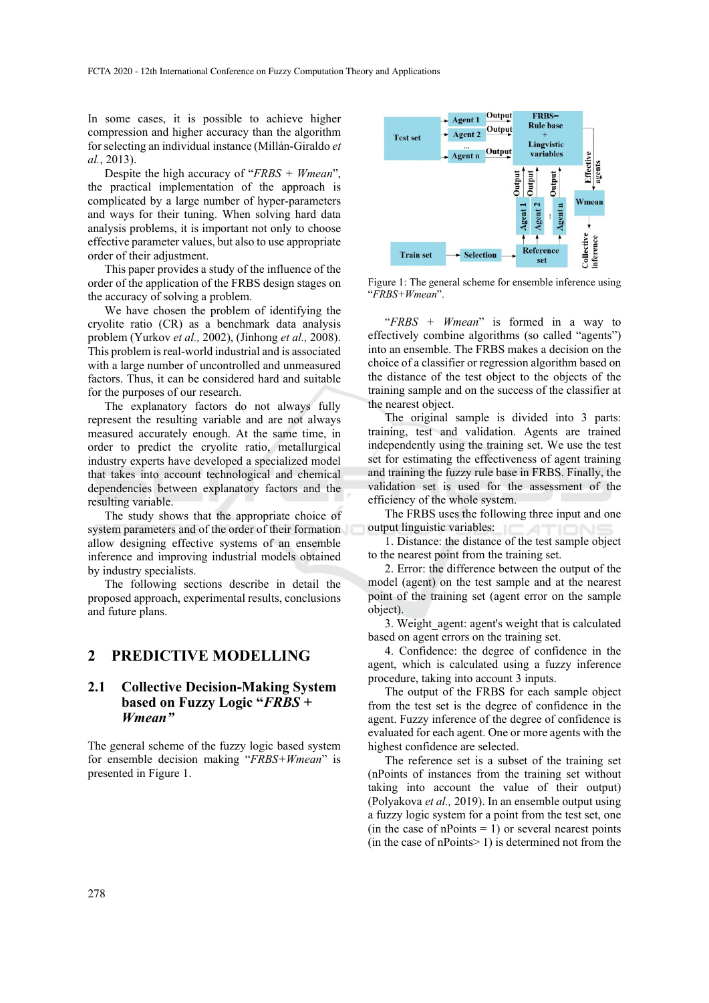In some cases, it is possible to achieve higher compression and higher accuracy than the algorithm for selecting an individual instance (Millán-Giraldo *et al.*, 2013).

Despite the high accuracy of "*FRBS + Wmean*", the practical implementation of the approach is complicated by a large number of hyper-parameters and ways for their tuning. When solving hard data analysis problems, it is important not only to choose effective parameter values, but also to use appropriate order of their adjustment.

This paper provides a study of the influence of the order of the application of the FRBS design stages on the accuracy of solving a problem.

We have chosen the problem of identifying the cryolite ratio (CR) as a benchmark data analysis problem (Yurkov *et al.,* 2002), (Jinhong *et al.,* 2008). This problem is real-world industrial and is associated with a large number of uncontrolled and unmeasured factors. Thus, it can be considered hard and suitable for the purposes of our research.

The explanatory factors do not always fully represent the resulting variable and are not always measured accurately enough. At the same time, in order to predict the cryolite ratio, metallurgical industry experts have developed a specialized model that takes into account technological and chemical dependencies between explanatory factors and the resulting variable.

The study shows that the appropriate choice of system parameters and of the order of their formation allow designing effective systems of an ensemble inference and improving industrial models obtained by industry specialists.

The following sections describe in detail the proposed approach, experimental results, conclusions and future plans.

#### **2 PREDICTIVE MODELLING**

### **2.1 Collective Decision-Making System based on Fuzzy Logic "***FRBS + Wmean"*

The general scheme of the fuzzy logic based system for ensemble decision making "*FRBS+Wmean*" is presented in Figure 1.



Figure 1: The general scheme for ensemble inference using "*FRBS+Wmean*".

"*FRBS + Wmean*" is formed in a way to effectively combine algorithms (so called "agents") into an ensemble. The FRBS makes a decision on the choice of a classifier or regression algorithm based on the distance of the test object to the objects of the training sample and on the success of the classifier at the nearest object.

The original sample is divided into 3 parts: training, test and validation. Agents are trained independently using the training set. We use the test set for estimating the effectiveness of agent training and training the fuzzy rule base in FRBS. Finally, the validation set is used for the assessment of the efficiency of the whole system.

The FRBS uses the following three input and one output linguistic variables:

1. Distance: the distance of the test sample object to the nearest point from the training set.

2. Error: the difference between the output of the model (agent) on the test sample and at the nearest point of the training set (agent error on the sample object).

3. Weight\_agent: agent's weight that is calculated based on agent errors on the training set.

4. Confidence: the degree of confidence in the agent, which is calculated using a fuzzy inference procedure, taking into account 3 inputs.

The output of the FRBS for each sample object from the test set is the degree of confidence in the agent. Fuzzy inference of the degree of confidence is evaluated for each agent. One or more agents with the highest confidence are selected.

The reference set is a subset of the training set (nPoints of instances from the training set without taking into account the value of their output) (Polyakova *et al.,* 2019). In an ensemble output using a fuzzy logic system for a point from the test set, one (in the case of nPoints  $= 1$ ) or several nearest points (in the case of nPoints $> 1$ ) is determined not from the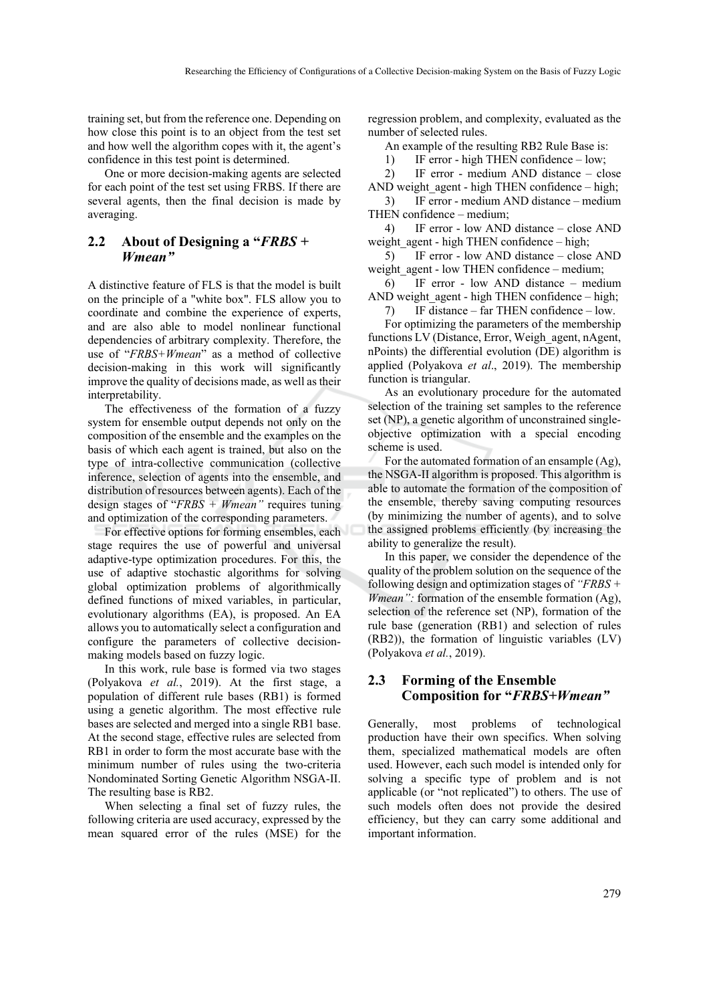training set, but from the reference one. Depending on how close this point is to an object from the test set and how well the algorithm copes with it, the agent's confidence in this test point is determined.

One or more decision-making agents are selected for each point of the test set using FRBS. If there are several agents, then the final decision is made by averaging.

### **2.2 About of Designing a "***FRBS + Wmean"*

A distinctive feature of FLS is that the model is built on the principle of a "white box". FLS allow you to coordinate and combine the experience of experts, and are also able to model nonlinear functional dependencies of arbitrary complexity. Therefore, the use of "*FRBS+Wmean*" as a method of collective decision-making in this work will significantly improve the quality of decisions made, as well as their interpretability.

The effectiveness of the formation of a fuzzy system for ensemble output depends not only on the composition of the ensemble and the examples on the basis of which each agent is trained, but also on the type of intra-collective communication (collective inference, selection of agents into the ensemble, and distribution of resources between agents). Each of the design stages of "*FRBS + Wmean"* requires tuning and optimization of the corresponding parameters.

For effective options for forming ensembles, each stage requires the use of powerful and universal adaptive-type optimization procedures. For this, the use of adaptive stochastic algorithms for solving global optimization problems of algorithmically defined functions of mixed variables, in particular, evolutionary algorithms (EA), is proposed. An EA allows you to automatically select a configuration and configure the parameters of collective decisionmaking models based on fuzzy logic.

In this work, rule base is formed via two stages (Polyakova *et al.*, 2019). At the first stage, a population of different rule bases (RB1) is formed using a genetic algorithm. The most effective rule bases are selected and merged into a single RB1 base. At the second stage, effective rules are selected from RB1 in order to form the most accurate base with the minimum number of rules using the two-criteria Nondominated Sorting Genetic Algorithm NSGA-II. The resulting base is RB2.

When selecting a final set of fuzzy rules, the following criteria are used accuracy, expressed by the mean squared error of the rules (MSE) for the

regression problem, and complexity, evaluated as the number of selected rules.

An example of the resulting RB2 Rule Base is:

1) IF error - high THEN confidence – low;

2) IF error - medium AND distance – close

AND weight  $agent - high THEN confidence - high;$ 3) IF error - medium AND distance – medium

THEN confidence – medium; 4) IF error - low AND distance – close AND

weight agent - high THEN confidence – high;

5) IF error - low AND distance – close AND weight agent - low THEN confidence – medium;

6) IF error - low AND distance – medium AND weight agent - high THEN confidence – high;

7) IF distance – far THEN confidence – low. For optimizing the parameters of the membership functions LV (Distance, Error, Weigh agent, nAgent, nPoints) the differential evolution (DE) algorithm is applied (Polyakova *et al*., 2019). The membership function is triangular.

As an evolutionary procedure for the automated selection of the training set samples to the reference set (NP), a genetic algorithm of unconstrained singleobjective optimization with a special encoding scheme is used.

For the automated formation of an ensample (Ag), the NSGA-II algorithm is proposed. This algorithm is able to automate the formation of the composition of the ensemble, thereby saving computing resources (by minimizing the number of agents), and to solve the assigned problems efficiently (by increasing the ability to generalize the result).

In this paper, we consider the dependence of the quality of the problem solution on the sequence of the following design and optimization stages of *"FRBS + Wmean"*: formation of the ensemble formation (Ag), selection of the reference set (NP), formation of the rule base (generation (RB1) and selection of rules (RB2)), the formation of linguistic variables (LV) (Polyakova *et al.*, 2019).

### **2.3 Forming of the Ensemble Composition for "***FRBS+Wmean"*

Generally, most problems of technological production have their own specifics. When solving them, specialized mathematical models are often used. However, each such model is intended only for solving a specific type of problem and is not applicable (or "not replicated") to others. The use of such models often does not provide the desired efficiency, but they can carry some additional and important information.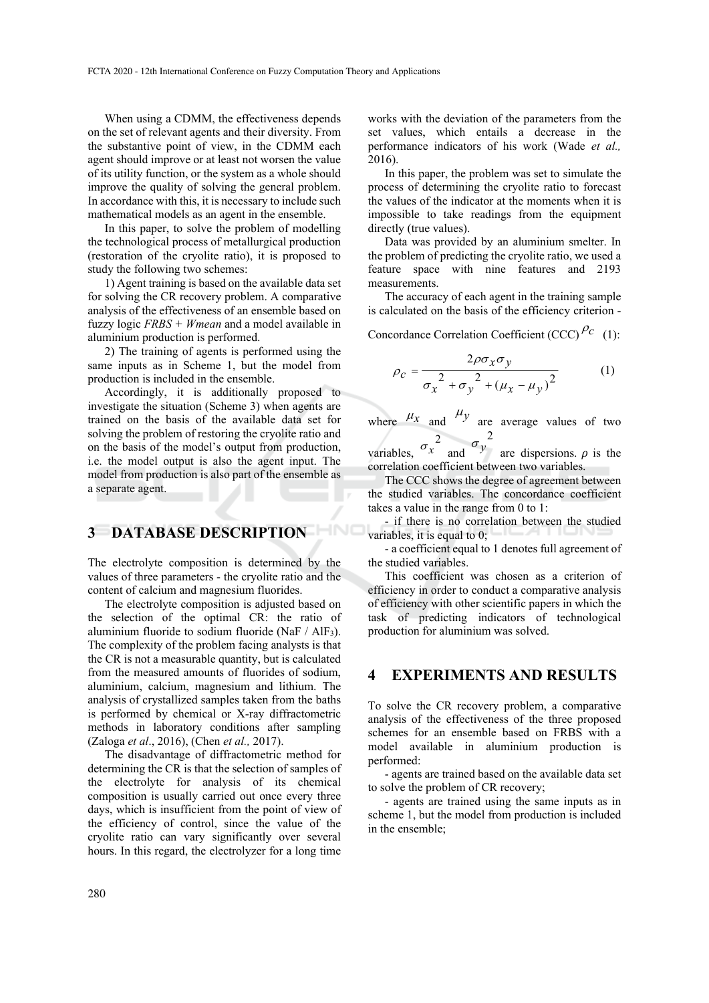When using a CDMM, the effectiveness depends on the set of relevant agents and their diversity. From the substantive point of view, in the CDMM each agent should improve or at least not worsen the value of its utility function, or the system as a whole should improve the quality of solving the general problem. In accordance with this, it is necessary to include such mathematical models as an agent in the ensemble.

In this paper, to solve the problem of modelling the technological process of metallurgical production (restoration of the cryolite ratio), it is proposed to study the following two schemes:

1) Agent training is based on the available data set for solving the CR recovery problem. A comparative analysis of the effectiveness of an ensemble based on fuzzy logic *FRBS + Wmean* and a model available in aluminium production is performed.

2) The training of agents is performed using the same inputs as in Scheme 1, but the model from production is included in the ensemble.

Accordingly, it is additionally proposed to investigate the situation (Scheme 3) when agents are trained on the basis of the available data set for solving the problem of restoring the cryolite ratio and on the basis of the model's output from production, i.e. the model output is also the agent input. The model from production is also part of the ensemble as a separate agent.

## **3 DATABASE DESCRIPTION**

The electrolyte composition is determined by the values of three parameters - the cryolite ratio and the content of calcium and magnesium fluorides.

The electrolyte composition is adjusted based on the selection of the optimal CR: the ratio of aluminium fluoride to sodium fluoride (NaF / AlF3). The complexity of the problem facing analysts is that the CR is not a measurable quantity, but is calculated from the measured amounts of fluorides of sodium, aluminium, calcium, magnesium and lithium. The analysis of crystallized samples taken from the baths is performed by chemical or X-ray diffractometric methods in laboratory conditions after sampling (Zaloga *et al*., 2016), (Chen *et al.,* 2017).

The disadvantage of diffractometric method for determining the CR is that the selection of samples of the electrolyte for analysis of its chemical composition is usually carried out once every three days, which is insufficient from the point of view of the efficiency of control, since the value of the cryolite ratio can vary significantly over several hours. In this regard, the electrolyzer for a long time

works with the deviation of the parameters from the set values, which entails a decrease in the performance indicators of his work (Wade *et al.,* 2016).

In this paper, the problem was set to simulate the process of determining the cryolite ratio to forecast the values of the indicator at the moments when it is impossible to take readings from the equipment directly (true values).

Data was provided by an aluminium smelter. In the problem of predicting the cryolite ratio, we used a feature space with nine features and 2193 measurements.

The accuracy of each agent in the training sample is calculated on the basis of the efficiency criterion -

Concordance Correlation Coefficient (CCC)<sup> $\rho_c$ </sup> (1):

$$
\rho_c = \frac{2\rho\sigma_x\sigma_y}{\sigma_x^2 + \sigma_y^2 + (\mu_x - \mu_y)^2}
$$
 (1)

where  $\mu_x$  and  $\mu_y$  are average values of two

variables,  $\sigma_x^2$  and  $\sigma_y^2$  $\sigma_y$  are dispersions.  $\rho$  is the correlation coefficient between two variables.

The CCC shows the degree of agreement between the studied variables. The concordance coefficient takes a value in the range from 0 to 1:

- if there is no correlation between the studied variables, it is equal to 0;

- a coefficient equal to 1 denotes full agreement of the studied variables.

This coefficient was chosen as a criterion of efficiency in order to conduct a comparative analysis of efficiency with other scientific papers in which the task of predicting indicators of technological production for aluminium was solved.

### **4 EXPERIMENTS AND RESULTS**

To solve the CR recovery problem, a comparative analysis of the effectiveness of the three proposed schemes for an ensemble based on FRBS with a model available in aluminium production is performed:

- agents are trained based on the available data set to solve the problem of CR recovery;

- agents are trained using the same inputs as in scheme 1, but the model from production is included in the ensemble;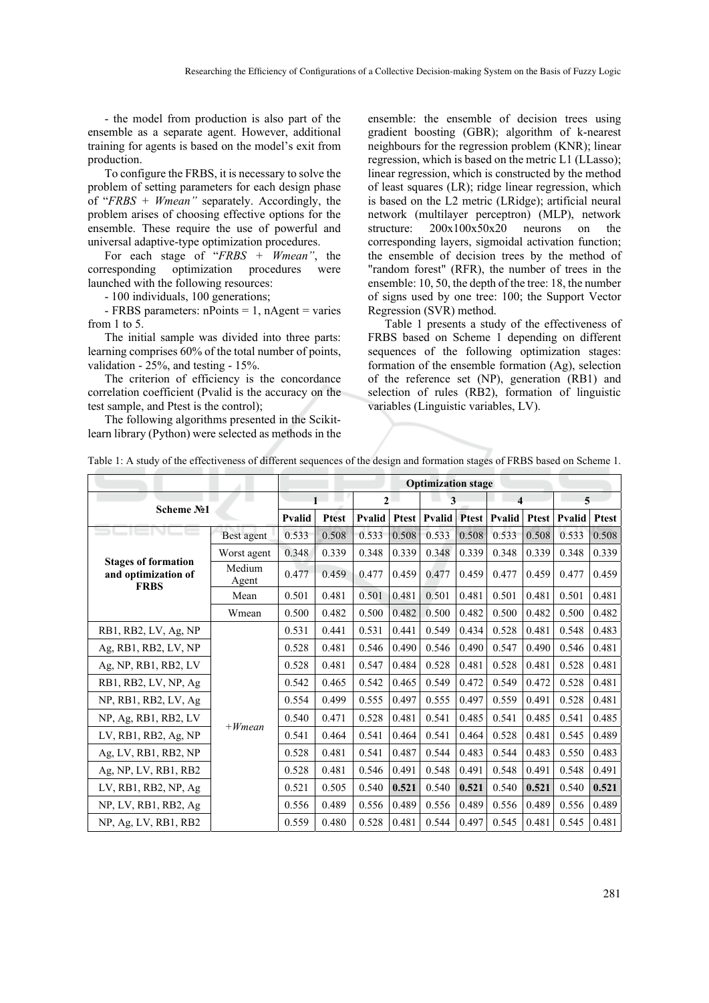- the model from production is also part of the ensemble as a separate agent. However, additional training for agents is based on the model's exit from production.

To configure the FRBS, it is necessary to solve the problem of setting parameters for each design phase of "*FRBS + Wmean"* separately. Accordingly, the problem arises of choosing effective options for the ensemble. These require the use of powerful and universal adaptive-type optimization procedures.

For each stage of "*FRBS + Wmean"*, the corresponding optimization procedures were launched with the following resources:

- 100 individuals, 100 generations;

 $-$  FRBS parameters: nPoints = 1, nAgent = varies from 1 to 5.

The initial sample was divided into three parts: learning comprises 60% of the total number of points, validation - 25%, and testing - 15%.

The criterion of efficiency is the concordance correlation coefficient (Pvalid is the accuracy on the test sample, and Ptest is the control);

The following algorithms presented in the Scikitlearn library (Python) were selected as methods in the

ensemble: the ensemble of decision trees using gradient boosting (GBR); algorithm of k-nearest neighbours for the regression problem (KNR); linear regression, which is based on the metric L1 (LLasso); linear regression, which is constructed by the method of least squares (LR); ridge linear regression, which is based on the L2 metric (LRidge); artificial neural network (multilayer perceptron) (MLP), network structure: 200x100x50x20 neurons on the corresponding layers, sigmoidal activation function; the ensemble of decision trees by the method of "random forest" (RFR), the number of trees in the ensemble: 10, 50, the depth of the tree: 18, the number of signs used by one tree: 100; the Support Vector Regression (SVR) method.

Table 1 presents a study of the effectiveness of FRBS based on Scheme 1 depending on different sequences of the following optimization stages: formation of the ensemble formation (Ag), selection of the reference set (NP), generation (RB1) and selection of rules (RB2), formation of linguistic variables (Linguistic variables, LV).

|                                                                  |                 | <b>Optimization stage</b> |              |                |              |                     |       |                        |       |                     |              |
|------------------------------------------------------------------|-----------------|---------------------------|--------------|----------------|--------------|---------------------|-------|------------------------|-------|---------------------|--------------|
| Scheme No1                                                       |                 | $\mathbf{1}$              |              | $\overline{2}$ |              | 3                   |       | $\boldsymbol{\Lambda}$ |       | 5                   |              |
|                                                                  |                 | <b>Pvalid</b>             | <b>Ptest</b> | Pvalid         | <b>Ptest</b> | <b>Pvalid</b> Ptest |       | <b>Pvalid</b>          |       | <b>Ptest Pyalid</b> | <b>Ptest</b> |
|                                                                  | Best agent      | 0.533                     | 0.508        | 0.533          | 0.508        | 0.533               | 0.508 | 0.533                  | 0.508 | 0.533               | 0.508        |
|                                                                  | Worst agent     | 0.348                     | 0.339        | 0.348          | 0.339        | 0.348               | 0.339 | 0.348                  | 0.339 | 0.348               | 0.339        |
| <b>Stages of formation</b><br>and optimization of<br><b>FRBS</b> | Medium<br>Agent | 0.477                     | 0.459        | 0.477          | 0.459        | 0.477               | 0.459 | 0.477                  | 0.459 | 0.477               | 0.459        |
|                                                                  | Mean            | 0.501                     | 0.481        | 0.501          | 0.481        | 0.501               | 0.481 | 0.501                  | 0.481 | 0.501               | 0.481        |
|                                                                  | Wmean           | 0.500                     | 0.482        | 0.500          | 0.482        | 0.500               | 0.482 | 0.500                  | 0.482 | 0.500               | 0.482        |
| RB1, RB2, LV, Ag, NP                                             |                 | 0.531                     | 0.441        | 0.531          | 0.441        | 0.549               | 0.434 | 0.528                  | 0.481 | 0.548               | 0.483        |
| Ag, RB1, RB2, LV, NP                                             |                 | 0.528                     | 0.481        | 0.546          | 0.490        | 0.546               | 0.490 | 0.547                  | 0.490 | 0.546               | 0.481        |
| Ag, NP, RB1, RB2, LV                                             |                 | 0.528                     | 0.481        | 0.547          | 0.484        | 0.528               | 0.481 | 0.528                  | 0.481 | 0.528               | 0.481        |
| RB1, RB2, LV, NP, Ag                                             |                 | 0.542                     | 0.465        | 0.542          | 0.465        | 0.549               | 0.472 | 0.549                  | 0.472 | 0.528               | 0.481        |
| NP, RB1, RB2, LV, Ag                                             |                 | 0.554                     | 0.499        | 0.555          | 0.497        | 0.555               | 0.497 | 0.559                  | 0.491 | 0.528               | 0.481        |
| NP, Ag, RB1, RB2, LV                                             | $+Wmean$        | 0.540                     | 0.471        | 0.528          | 0.481        | 0.541               | 0.485 | 0.541                  | 0.485 | 0.541               | 0.485        |
| LV, RB1, RB2, Ag, NP                                             |                 | 0.541                     | 0.464        | 0.541          | 0.464        | 0.541               | 0.464 | 0.528                  | 0.481 | 0.545               | 0.489        |
| Ag, LV, RB1, RB2, NP                                             |                 | 0.528                     | 0.481        | 0.541          | 0.487        | 0.544               | 0.483 | 0.544                  | 0.483 | 0.550               | 0.483        |
| Ag, NP, LV, RB1, RB2                                             |                 | 0.528                     | 0.481        | 0.546          | 0.491        | 0.548               | 0.491 | 0.548                  | 0.491 | 0.548               | 0.491        |
| LV, RB1, RB2, NP, Ag                                             |                 | 0.521                     | 0.505        | 0.540          | 0.521        | 0.540               | 0.521 | 0.540                  | 0.521 | 0.540               | 0.521        |
| NP, LV, RB1, RB2, Ag                                             |                 | 0.556                     | 0.489        | 0.556          | 0.489        | 0.556               | 0.489 | 0.556                  | 0.489 | 0.556               | 0.489        |
| NP, Ag, LV, RB1, RB2                                             |                 | 0.559                     | 0.480        | 0.528          | 0.481        | 0.544               | 0.497 | 0.545                  | 0.481 | 0.545               | 0.481        |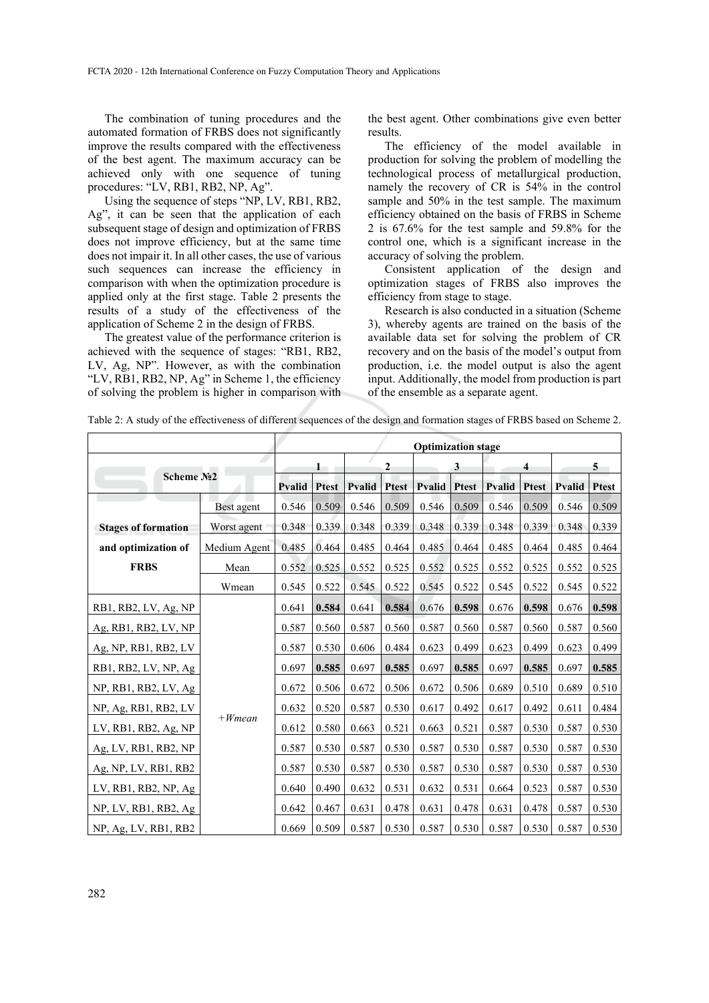The combination of tuning procedures and the automated formation of FRBS does not significantly improve the results compared with the effectiveness of the best agent. The maximum accuracy can be achieved only with one sequence of tuning procedures: "LV, RB1, RB2, NP, Ag".

Using the sequence of steps "NP, LV, RB1, RB2, Ag", it can be seen that the application of each subsequent stage of design and optimization of FRBS does not improve efficiency, but at the same time does not impair it. In all other cases, the use of various such sequences can increase the efficiency in comparison with when the optimization procedure is applied only at the first stage. Table 2 presents the results of a study of the effectiveness of the application of Scheme 2 in the design of FRBS.

The greatest value of the performance criterion is achieved with the sequence of stages: "RB1, RB2, LV, Ag, NP". However, as with the combination "LV, RB1, RB2, NP, Ag" in Scheme 1, the efficiency of solving the problem is higher in comparison with

the best agent. Other combinations give even better results.

The efficiency of the model available in production for solving the problem of modelling the technological process of metallurgical production, namely the recovery of CR is 54% in the control sample and 50% in the test sample. The maximum efficiency obtained on the basis of FRBS in Scheme 2 is 67.6% for the test sample and 59.8% for the control one, which is a significant increase in the accuracy of solving the problem.

Consistent application of the design and optimization stages of FRBS also improves the efficiency from stage to stage.

Research is also conducted in a situation (Scheme 3), whereby agents are trained on the basis of the available data set for solving the problem of CR recovery and on the basis of the model's output from production, i.e. the model output is also the agent input. Additionally, the model from production is part of the ensemble as a separate agent.

Table 2: A study of the effectiveness of different sequences of the design and formation stages of FRBS based on Scheme 2.

|                            | <b>Optimization stage</b> |        |              |                |              |                     |       |               |              |               |              |
|----------------------------|---------------------------|--------|--------------|----------------|--------------|---------------------|-------|---------------|--------------|---------------|--------------|
| Scheme No <sub>2</sub>     |                           |        |              | $\overline{2}$ |              | 3                   |       | 4             |              |               | 5            |
|                            |                           | Pvalid | <b>Ptest</b> | Pvalid         | <b>Ptest</b> | <b>Pvalid</b> Ptest |       | <b>Pvalid</b> | <b>Ptest</b> | <b>Pvalid</b> | <b>Ptest</b> |
|                            | Best agent                | 0.546  | 0.509        | 0.546          | 0.509        | 0.546               | 0.509 | 0.546         | 0.509        | 0.546         | 0.509        |
| <b>Stages of formation</b> | Worst agent               | 0.348  | 0.339        | 0.348          | 0.339        | 0.348               | 0.339 | 0.348         | 0.339        | 0.348         | 0.339        |
| and optimization of        | Medium Agent              | 0.485  | 0.464        | 0.485          | 0.464        | 0.485               | 0.464 | 0.485         | 0.464        | 0.485         | 0.464        |
| <b>FRBS</b>                | Mean                      | 0.552  | 0.525        | 0.552          | 0.525        | 0.552               | 0.525 | 0.552         | 0.525        | 0.552         | 0.525        |
|                            | Wmean                     | 0.545  | 0.522        | 0.545          | 0.522        | 0.545               | 0.522 | 0.545         | 0.522        | 0.545         | 0.522        |
| RB1, RB2, LV, Ag, NP       |                           | 0.641  | 0.584        | 0.641          | 0.584        | 0.676               | 0.598 | 0.676         | 0.598        | 0.676         | 0.598        |
| Ag, RB1, RB2, LV, NP       |                           | 0.587  | 0.560        | 0.587          | 0.560        | 0.587               | 0.560 | 0.587         | 0.560        | 0.587         | 0.560        |
| Ag, NP, RB1, RB2, LV       |                           | 0.587  | 0.530        | 0.606          | 0.484        | 0.623               | 0.499 | 0.623         | 0.499        | 0.623         | 0.499        |
| RB1, RB2, LV, NP, Ag       |                           | 0.697  | 0.585        | 0.697          | 0.585        | 0.697               | 0.585 | 0.697         | 0.585        | 0.697         | 0.585        |
| NP, RB1, RB2, LV, Ag       |                           | 0.672  | 0.506        | 0.672          | 0.506        | 0.672               | 0.506 | 0.689         | 0.510        | 0.689         | 0.510        |
| NP, Ag, RB1, RB2, LV       |                           | 0.632  | 0.520        | 0.587          | 0.530        | 0.617               | 0.492 | 0.617         | 0.492        | 0.611         | 0.484        |
| LV, RB1, RB2, Ag, NP       | $+ W$ <i>mean</i>         | 0.612  | 0.580        | 0.663          | 0.521        | 0.663               | 0.521 | 0.587         | 0.530        | 0.587         | 0.530        |
| Ag, LV, RB1, RB2, NP       |                           | 0.587  | 0.530        | 0.587          | 0.530        | 0.587               | 0.530 | 0.587         | 0.530        | 0.587         | 0.530        |
| Ag, NP, LV, RB1, RB2       |                           | 0.587  | 0.530        | 0.587          | 0.530        | 0.587               | 0.530 | 0.587         | 0.530        | 0.587         | 0.530        |
| LV, RB1, RB2, NP, Ag       |                           | 0.640  | 0.490        | 0.632          | 0.531        | 0.632               | 0.531 | 0.664         | 0.523        | 0.587         | 0.530        |
| NP, LV, RB1, RB2, Ag       |                           | 0.642  | 0.467        | 0.631          | 0.478        | 0.631               | 0.478 | 0.631         | 0.478        | 0.587         | 0.530        |
| NP, Ag, LV, RB1, RB2       |                           | 0.669  | 0.509        | 0.587          | 0.530        | 0.587               | 0.530 | 0.587         | 0.530        | 0.587         | 0.530        |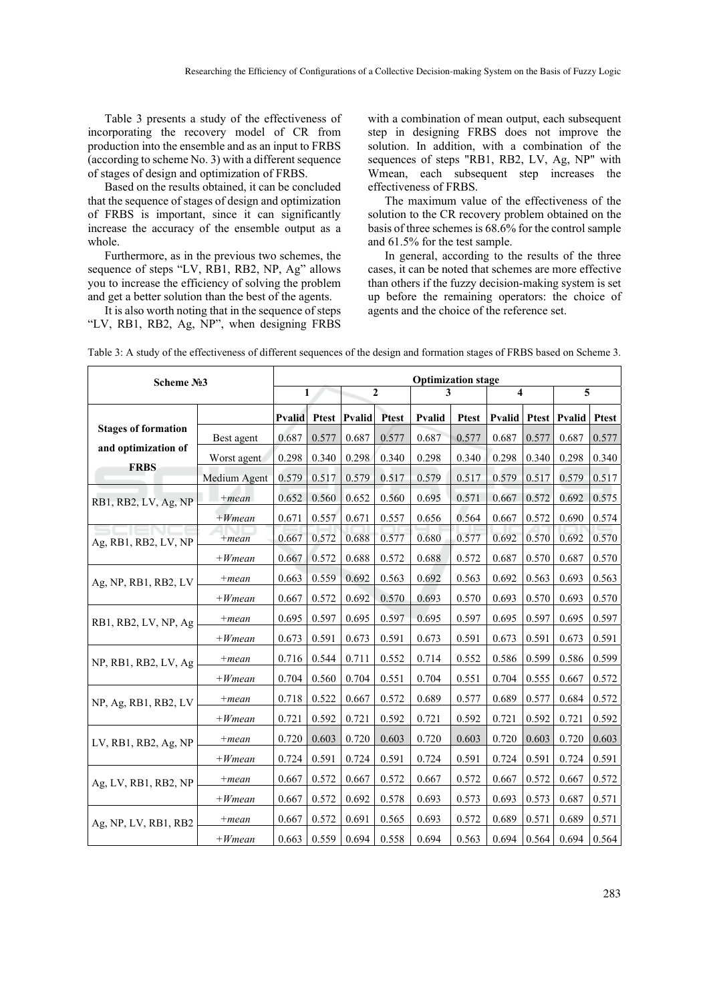Table 3 presents a study of the effectiveness of incorporating the recovery model of CR from production into the ensemble and as an input to FRBS (according to scheme No. 3) with a different sequence of stages of design and optimization of FRBS.

Based on the results obtained, it can be concluded that the sequence of stages of design and optimization of FRBS is important, since it can significantly increase the accuracy of the ensemble output as a whole.

Furthermore, as in the previous two schemes, the sequence of steps "LV, RB1, RB2, NP, Ag" allows you to increase the efficiency of solving the problem and get a better solution than the best of the agents.

It is also worth noting that in the sequence of steps "LV, RB1, RB2, Ag, NP", when designing FRBS

with a combination of mean output, each subsequent step in designing FRBS does not improve the solution. In addition, with a combination of the sequences of steps "RB1, RB2, LV, Ag, NP" with Wmean, each subsequent step increases the effectiveness of FRBS.

The maximum value of the effectiveness of the solution to the CR recovery problem obtained on the basis of three schemes is 68.6% for the control sample and 61.5% for the test sample.

In general, according to the results of the three cases, it can be noted that schemes are more effective than others if the fuzzy decision-making system is set up before the remaining operators: the choice of agents and the choice of the reference set.

| Scheme No3                 |                   | <b>Optimization stage</b> |              |        |                |        |              |        |                         |              |                         |  |
|----------------------------|-------------------|---------------------------|--------------|--------|----------------|--------|--------------|--------|-------------------------|--------------|-------------------------|--|
|                            |                   | $\mathbf{1}$              |              |        | $\overline{2}$ |        | 3            |        | $\overline{\mathbf{4}}$ |              | $\overline{\mathbf{5}}$ |  |
|                            |                   | <b>Pvalid</b>             | <b>Ptest</b> | Pvalid | <b>Ptest</b>   | Pvalid | <b>Ptest</b> | Pvalid |                         | Ptest Pvalid | <b>Ptest</b>            |  |
| <b>Stages of formation</b> | Best agent        | 0.687                     | 0.577        | 0.687  | 0.577          | 0.687  | 0.577        | 0.687  | 0.577                   | 0.687        | 0.577                   |  |
| and optimization of        | Worst agent       | 0.298                     | 0.340        | 0.298  | 0.340          | 0.298  | 0.340        | 0.298  | 0.340                   | 0.298        | 0.340                   |  |
| <b>FRBS</b>                | Medium Agent      | 0.579                     | 0.517        | 0.579  | 0.517          | 0.579  | 0.517        | 0.579  | 0.517                   | 0.579        | 0.517                   |  |
| RB1, RB2, LV, Ag, NP       | $+mean$           | 0.652                     | 0.560        | 0.652  | 0.560          | 0.695  | 0.571        | 0.667  | 0.572                   | 0.692        | 0.575                   |  |
|                            | $+Wmean$          | 0.671                     | 0.557        | 0.671  | 0.557          | 0.656  | 0.564        | 0.667  | 0.572                   | 0.690        | 0.574                   |  |
| Ag, RB1, RB2, LV, NP       | $+mean$           | 0.667                     | 0.572        | 0.688  | 0.577          | 0.680  | 0.577        | 0.692  | 0.570                   | 0.692        | 0.570                   |  |
|                            | $+ W$ <i>mean</i> | 0.667                     | 0.572        | 0.688  | 0.572          | 0.688  | 0.572        | 0.687  | 0.570                   | 0.687        | 0.570                   |  |
| Ag, NP, RB1, RB2, LV       | $+mean$           | 0.663                     | 0.559        | 0.692  | 0.563          | 0.692  | 0.563        | 0.692  | 0.563                   | 0.693        | 0.563                   |  |
|                            | $+Wmean$          | 0.667                     | 0.572        | 0.692  | 0.570          | 0.693  | 0.570        | 0.693  | 0.570                   | 0.693        | 0.570                   |  |
| RB1, RB2, LV, NP, Ag       | $+mean$           | 0.695                     | 0.597        | 0.695  | 0.597          | 0.695  | 0.597        | 0.695  | 0.597                   | 0.695        | 0.597                   |  |
|                            | $+Wmean$          | 0.673                     | 0.591        | 0.673  | 0.591          | 0.673  | 0.591        | 0.673  | 0.591                   | 0.673        | 0.591                   |  |
| NP, RB1, RB2, LV, Ag       | $+mean$           | 0.716                     | 0.544        | 0.711  | 0.552          | 0.714  | 0.552        | 0.586  | 0.599                   | 0.586        | 0.599                   |  |
|                            | $+Wmean$          | 0.704                     | 0.560        | 0.704  | 0.551          | 0.704  | 0.551        | 0.704  | 0.555                   | 0.667        | 0.572                   |  |
| NP, Ag, RB1, RB2, LV       | $+mean$           | 0.718                     | 0.522        | 0.667  | 0.572          | 0.689  | 0.577        | 0.689  | 0.577                   | 0.684        | 0.572                   |  |
|                            | $+Wmean$          | 0.721                     | 0.592        | 0.721  | 0.592          | 0.721  | 0.592        | 0.721  | 0.592                   | 0.721        | 0.592                   |  |
| LV, RB1, RB2, Ag, NP       | $+mean$           | 0.720                     | 0.603        | 0.720  | 0.603          | 0.720  | 0.603        | 0.720  | 0.603                   | 0.720        | 0.603                   |  |
|                            | $+Wmean$          | 0.724                     | 0.591        | 0.724  | 0.591          | 0.724  | 0.591        | 0.724  | 0.591                   | 0.724        | 0.591                   |  |
| Ag, LV, RB1, RB2, NP       | $+mean$           | 0.667                     | 0.572        | 0.667  | 0.572          | 0.667  | 0.572        | 0.667  | 0.572                   | 0.667        | 0.572                   |  |
|                            | $+ W$ <i>mean</i> | 0.667                     | 0.572        | 0.692  | 0.578          | 0.693  | 0.573        | 0.693  | 0.573                   | 0.687        | 0.571                   |  |
| Ag, NP, LV, RB1, RB2       | $+mean$           | 0.667                     | 0.572        | 0.691  | 0.565          | 0.693  | 0.572        | 0.689  | 0.571                   | 0.689        | 0.571                   |  |
|                            | $+ W$ <i>mean</i> | 0.663                     | 0.559        | 0.694  | 0.558          | 0.694  | 0.563        | 0.694  | 0.564                   | 0.694        | 0.564                   |  |

Table 3: A study of the effectiveness of different sequences of the design and formation stages of FRBS based on Scheme 3.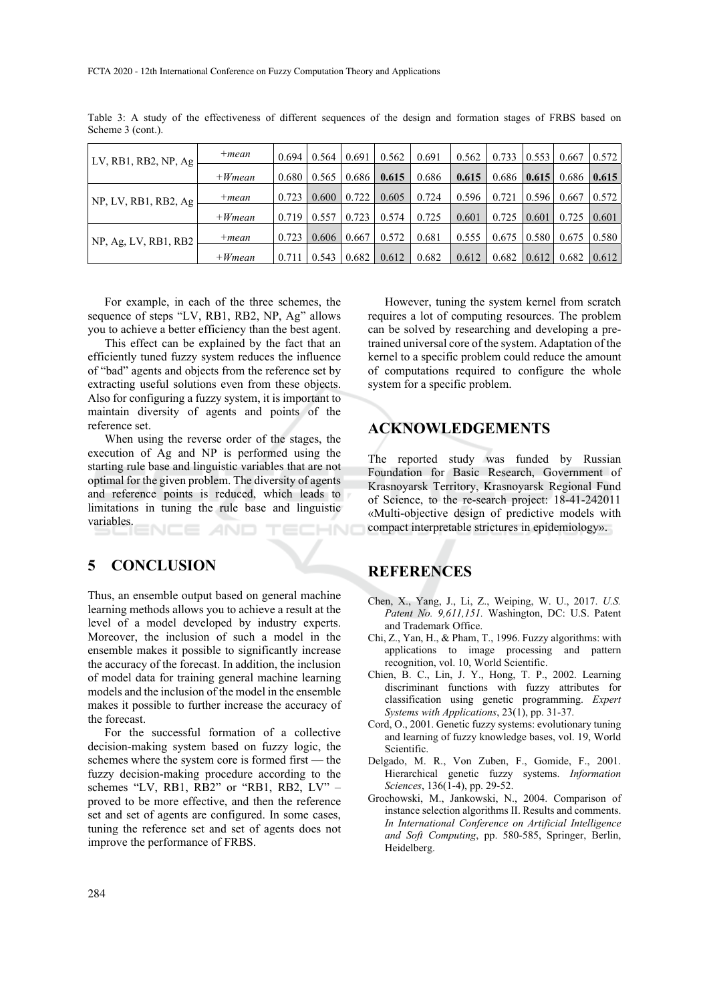| LV, RB1, RB2, NP, $Ag$  | $+mean$  | 0.694 | 0.564 | 0.691 | 0.562 | 0.691 | 0.562 |                   | $0.733$   $0.553$ | 0.667 | 0.572 |
|-------------------------|----------|-------|-------|-------|-------|-------|-------|-------------------|-------------------|-------|-------|
|                         | $+Wmean$ | 0.680 | 0.565 | 0.686 | 0.615 | 0.686 | 0.615 |                   | $0.686$   0.615   | 0.686 | 0.615 |
| NP, LV, RB1, RB2, Ag    | $+mean$  | 0.723 | 0.600 | 0.722 | 0.605 | 0.724 | 0.596 | 0.721             | 0.596             | 0.667 | 0.572 |
|                         | $+Wmean$ | 0.719 | 0.557 | 0.723 | 0.574 | 0.725 | 0.601 | 0.725             | 0.601             | 0.725 | 0.601 |
| $NP$ , Ag, LV, RB1, RB2 | $+mean$  | 0.723 | 0.606 | 0.667 | 0.572 | 0.681 | 0.555 |                   | $0.675$   0.580   | 0.675 | 0.580 |
|                         | $+Wmean$ | 0.711 | 0.543 | 0.682 | 0.612 | 0.682 | 0.612 | $0.682 \pm 0.612$ |                   | 0.682 | 0.612 |

Table 3: A study of the effectiveness of different sequences of the design and formation stages of FRBS based on Scheme 3 (cont.).

For example, in each of the three schemes, the sequence of steps "LV, RB1, RB2, NP, Ag" allows you to achieve a better efficiency than the best agent.

This effect can be explained by the fact that an efficiently tuned fuzzy system reduces the influence of "bad" agents and objects from the reference set by extracting useful solutions even from these objects. Also for configuring a fuzzy system, it is important to maintain diversity of agents and points of the reference set.

When using the reverse order of the stages, the execution of Ag and NP is performed using the starting rule base and linguistic variables that are not optimal for the given problem. The diversity of agents and reference points is reduced, which leads to limitations in tuning the rule base and linguistic variables. HND

### **5 CONCLUSION**

Thus, an ensemble output based on general machine learning methods allows you to achieve a result at the level of a model developed by industry experts. Moreover, the inclusion of such a model in the ensemble makes it possible to significantly increase the accuracy of the forecast. In addition, the inclusion of model data for training general machine learning models and the inclusion of the model in the ensemble makes it possible to further increase the accuracy of the forecast.

For the successful formation of a collective decision-making system based on fuzzy logic, the schemes where the system core is formed first — the fuzzy decision-making procedure according to the schemes "LV, RB1, RB2" or "RB1, RB2, LV" proved to be more effective, and then the reference set and set of agents are configured. In some cases, tuning the reference set and set of agents does not improve the performance of FRBS.

However, tuning the system kernel from scratch requires a lot of computing resources. The problem can be solved by researching and developing a pretrained universal core of the system. Adaptation of the kernel to a specific problem could reduce the amount of computations required to configure the whole system for a specific problem.

### **ACKNOWLEDGEMENTS**

The reported study was funded by Russian Foundation for Basic Research, Government of Krasnoyarsk Territory, Krasnoyarsk Regional Fund of Science, to the re-search project: 18-41-242011 «Multi-objective design of predictive models with compact interpretable strictures in epidemiology».

### **REFERENCES**

- Chen, X., Yang, J., Li, Z., Weiping, W. U., 2017. *U.S. Patent No. 9,611,151.* Washington, DC: U.S. Patent and Trademark Office.
- Chi, Z., Yan, H., & Pham, T., 1996. Fuzzy algorithms: with applications to image processing and pattern recognition, vol. 10, World Scientific.
- Chien, B. C., Lin, J. Y., Hong, T. P., 2002. Learning discriminant functions with fuzzy attributes for classification using genetic programming. *Expert Systems with Applications*, 23(1), pp. 31-37.
- Cord, O., 2001. Genetic fuzzy systems: evolutionary tuning and learning of fuzzy knowledge bases, vol. 19, World Scientific.
- Delgado, M. R., Von Zuben, F., Gomide, F., 2001. Hierarchical genetic fuzzy systems. *Information Sciences*, 136(1-4), pp. 29-52.
- Grochowski, M., Jankowski, N., 2004. Comparison of instance selection algorithms II. Results and comments. *In International Conference on Artificial Intelligence and Soft Computing*, pp. 580-585, Springer, Berlin, Heidelberg.